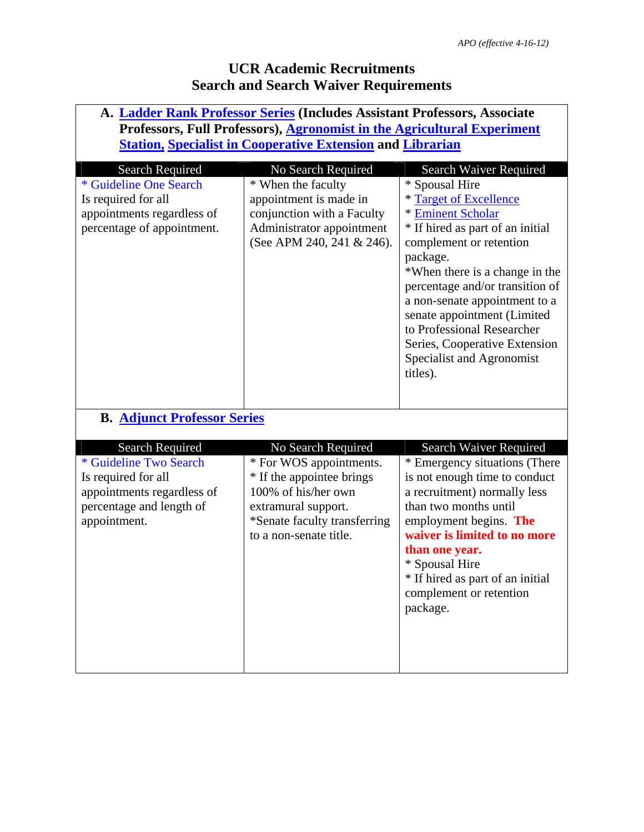| A. Ladder Rank Professor Series (Includes Assistant Professors, Associate<br>Professors, Full Professors), Agronomist in the Agricultural Experiment |                                                                                                                                                              |                                                                                                                                                                                                                                                                                                                                                                                       |  |  |
|------------------------------------------------------------------------------------------------------------------------------------------------------|--------------------------------------------------------------------------------------------------------------------------------------------------------------|---------------------------------------------------------------------------------------------------------------------------------------------------------------------------------------------------------------------------------------------------------------------------------------------------------------------------------------------------------------------------------------|--|--|
|                                                                                                                                                      |                                                                                                                                                              |                                                                                                                                                                                                                                                                                                                                                                                       |  |  |
| <b>Search Required</b>                                                                                                                               | No Search Required                                                                                                                                           | <b>Search Waiver Required</b>                                                                                                                                                                                                                                                                                                                                                         |  |  |
| * Guideline One Search<br>Is required for all<br>appointments regardless of<br>percentage of appointment.                                            | * When the faculty<br>appointment is made in<br>conjunction with a Faculty<br>Administrator appointment<br>(See APM 240, 241 & 246).                         | * Spousal Hire<br>* Target of Excellence<br>* Eminent Scholar<br>* If hired as part of an initial<br>complement or retention<br>package.<br>*When there is a change in the<br>percentage and/or transition of<br>a non-senate appointment to a<br>senate appointment (Limited<br>to Professional Researcher<br>Series, Cooperative Extension<br>Specialist and Agronomist<br>titles). |  |  |
| <b>B. Adjunct Professor Series</b>                                                                                                                   |                                                                                                                                                              |                                                                                                                                                                                                                                                                                                                                                                                       |  |  |
| <b>Search Required</b>                                                                                                                               | No Search Required                                                                                                                                           | Search Waiver Required                                                                                                                                                                                                                                                                                                                                                                |  |  |
| * Guideline Two Search<br>Is required for all<br>appointments regardless of<br>percentage and length of<br>appointment.                              | * For WOS appointments.<br>* If the appointee brings<br>100% of his/her own<br>extramural support.<br>*Senate faculty transferring<br>to a non-senate title. | * Emergency situations (There<br>is not enough time to conduct<br>a recruitment) normally less<br>than two months until<br>employment begins. The<br>waiver is limited to no more<br>than one year.<br>* Spousal Hire<br>* If hired as part of an initial<br>complement or retention<br>package.                                                                                      |  |  |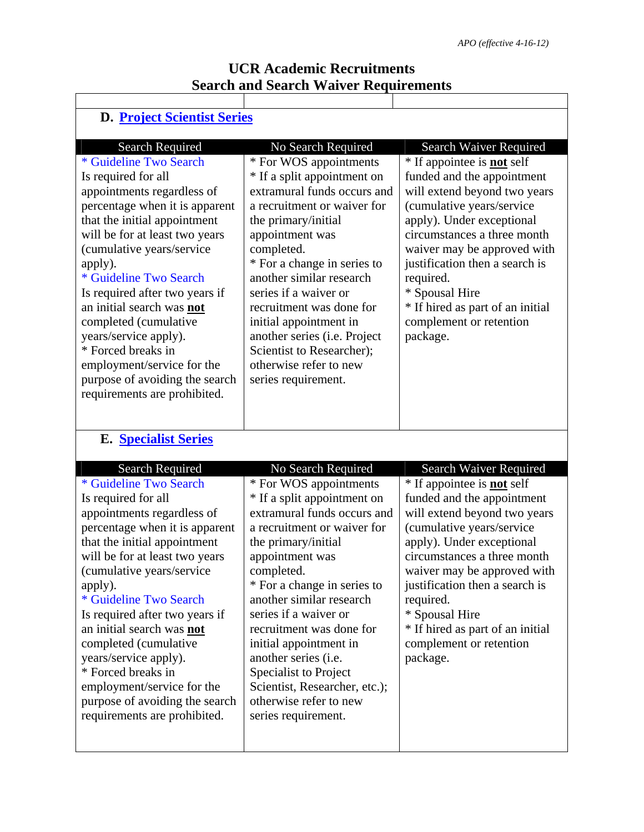| <b>D. Project Scientist Series</b>                                                                                                                                                                                                                                                                                                                                                                                                                                                                                                                 |                                                                                                                                                                                                                                                                                                                                                                                                                                                                                |                                                                                                                                                                                                                                                                                                                                                                                               |  |  |  |
|----------------------------------------------------------------------------------------------------------------------------------------------------------------------------------------------------------------------------------------------------------------------------------------------------------------------------------------------------------------------------------------------------------------------------------------------------------------------------------------------------------------------------------------------------|--------------------------------------------------------------------------------------------------------------------------------------------------------------------------------------------------------------------------------------------------------------------------------------------------------------------------------------------------------------------------------------------------------------------------------------------------------------------------------|-----------------------------------------------------------------------------------------------------------------------------------------------------------------------------------------------------------------------------------------------------------------------------------------------------------------------------------------------------------------------------------------------|--|--|--|
| <b>Search Required</b><br>* Guideline Two Search<br>Is required for all<br>appointments regardless of<br>percentage when it is apparent<br>that the initial appointment<br>will be for at least two years<br>(cumulative years/service<br>apply).<br>* Guideline Two Search<br>Is required after two years if<br>an initial search was not<br>completed (cumulative<br>years/service apply).<br>* Forced breaks in<br>employment/service for the<br>purpose of avoiding the search<br>requirements are prohibited.                                 | No Search Required<br>* For WOS appointments<br>* If a split appointment on<br>extramural funds occurs and<br>a recruitment or waiver for<br>the primary/initial<br>appointment was<br>completed.<br>* For a change in series to<br>another similar research<br>series if a waiver or<br>recruitment was done for<br>initial appointment in<br>another series (i.e. Project<br>Scientist to Researcher);<br>otherwise refer to new<br>series requirement.                      | Search Waiver Required<br>* If appointee is <b>not</b> self<br>funded and the appointment<br>will extend beyond two years<br>(cumulative years/service<br>apply). Under exceptional<br>circumstances a three month<br>waiver may be approved with<br>justification then a search is<br>required.<br>* Spousal Hire<br>* If hired as part of an initial<br>complement or retention<br>package. |  |  |  |
| <b>E. Specialist Series</b><br><b>Search Required</b><br>* Guideline Two Search<br>Is required for all<br>appointments regardless of<br>percentage when it is apparent<br>that the initial appointment<br>will be for at least two years<br>(cumulative years/service)<br>apply).<br>* Guideline Two Search<br>Is required after two years if<br>an initial search was not<br>completed (cumulative<br>years/service apply).<br>* Forced breaks in<br>employment/service for the<br>purpose of avoiding the search<br>requirements are prohibited. | No Search Required<br>* For WOS appointments<br>* If a split appointment on<br>extramural funds occurs and<br>a recruitment or waiver for<br>the primary/initial<br>appointment was<br>completed.<br>* For a change in series to<br>another similar research<br>series if a waiver or<br>recruitment was done for<br>initial appointment in<br>another series (i.e.<br>Specialist to Project<br>Scientist, Researcher, etc.);<br>otherwise refer to new<br>series requirement. | Search Waiver Required<br>* If appointee is <b>not</b> self<br>funded and the appointment<br>will extend beyond two years<br>(cumulative years/service<br>apply). Under exceptional<br>circumstances a three month<br>waiver may be approved with<br>justification then a search is<br>required.<br>* Spousal Hire<br>* If hired as part of an initial<br>complement or retention<br>package. |  |  |  |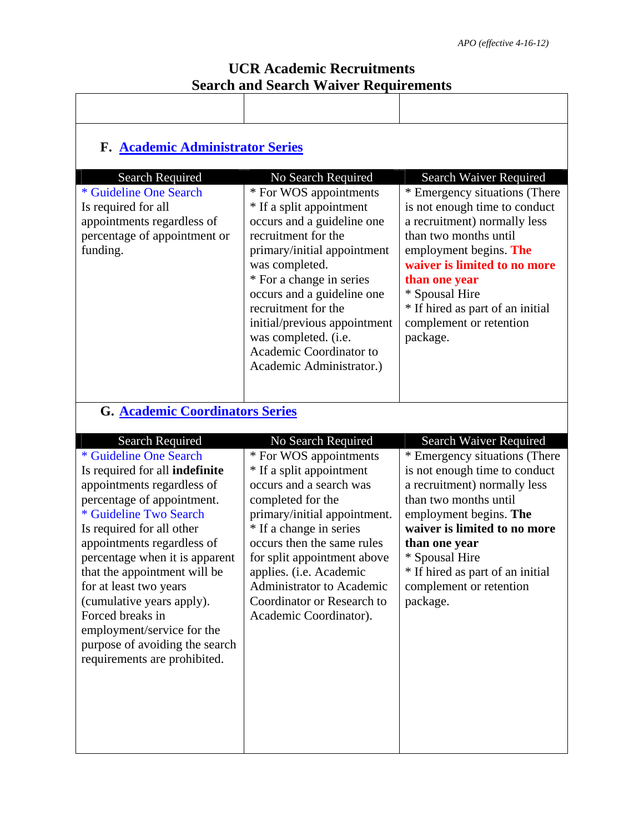| <b>F. Academic Administrator Series</b>                                                                                                                                                                                                                                                                                                                                                                                                                |                                                                                                                                                                                                                                                                                                                                                          |                                                                                                                                                                                                                                                                                                 |  |  |
|--------------------------------------------------------------------------------------------------------------------------------------------------------------------------------------------------------------------------------------------------------------------------------------------------------------------------------------------------------------------------------------------------------------------------------------------------------|----------------------------------------------------------------------------------------------------------------------------------------------------------------------------------------------------------------------------------------------------------------------------------------------------------------------------------------------------------|-------------------------------------------------------------------------------------------------------------------------------------------------------------------------------------------------------------------------------------------------------------------------------------------------|--|--|
| <b>Search Required</b>                                                                                                                                                                                                                                                                                                                                                                                                                                 | No Search Required                                                                                                                                                                                                                                                                                                                                       | Search Waiver Required                                                                                                                                                                                                                                                                          |  |  |
| * Guideline One Search<br>Is required for all<br>appointments regardless of<br>percentage of appointment or<br>funding.                                                                                                                                                                                                                                                                                                                                | * For WOS appointments<br>* If a split appointment<br>occurs and a guideline one<br>recruitment for the<br>primary/initial appointment<br>was completed.<br>* For a change in series<br>occurs and a guideline one<br>recruitment for the<br>initial/previous appointment<br>was completed. (i.e.<br>Academic Coordinator to<br>Academic Administrator.) | * Emergency situations (There<br>is not enough time to conduct<br>a recruitment) normally less<br>than two months until<br>employment begins. The<br>waiver is limited to no more<br>than one year<br>* Spousal Hire<br>* If hired as part of an initial<br>complement or retention<br>package. |  |  |
| <b>G. Academic Coordinators Series</b>                                                                                                                                                                                                                                                                                                                                                                                                                 |                                                                                                                                                                                                                                                                                                                                                          |                                                                                                                                                                                                                                                                                                 |  |  |
| <b>Search Required</b>                                                                                                                                                                                                                                                                                                                                                                                                                                 | No Search Required                                                                                                                                                                                                                                                                                                                                       | Search Waiver Required                                                                                                                                                                                                                                                                          |  |  |
| * Guideline One Search<br>Is required for all indefinite<br>appointments regardless of<br>percentage of appointment.<br>* Guideline Two Search<br>Is required for all other<br>appointments regardless of<br>percentage when it is apparent<br>that the appointment will be<br>for at least two years<br>(cumulative years apply).<br>Forced breaks in<br>employment/service for the<br>purpose of avoiding the search<br>requirements are prohibited. | * For WOS appointments<br>* If a split appointment<br>occurs and a search was<br>completed for the<br>primary/initial appointment.<br>* If a change in series<br>occurs then the same rules<br>for split appointment above<br>applies. (i.e. Academic<br>Administrator to Academic<br>Coordinator or Research to<br>Academic Coordinator).               | * Emergency situations (There<br>is not enough time to conduct<br>a recruitment) normally less<br>than two months until<br>employment begins. The<br>waiver is limited to no more<br>than one year<br>* Spousal Hire<br>* If hired as part of an initial<br>complement or retention<br>package. |  |  |